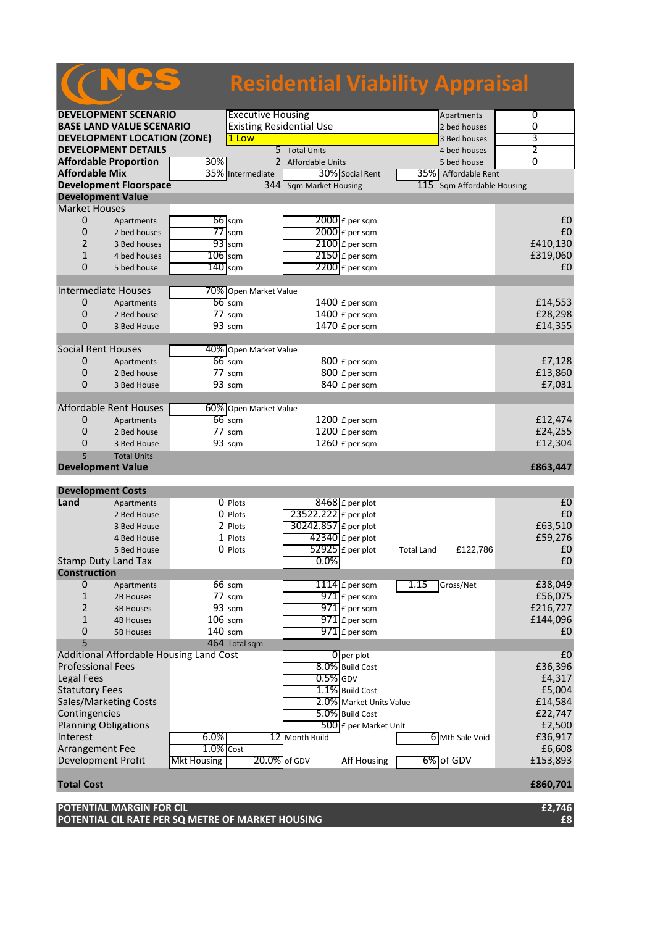|                                                                                               |                                         |                  |                                 | <b>Residential Viability Appraisal</b> |                     |                        |          |
|-----------------------------------------------------------------------------------------------|-----------------------------------------|------------------|---------------------------------|----------------------------------------|---------------------|------------------------|----------|
|                                                                                               |                                         |                  |                                 |                                        |                     |                        |          |
| <b>DEVELOPMENT SCENARIO</b>                                                                   |                                         |                  | <b>Executive Housing</b>        |                                        |                     | Apartments             | 0        |
| <b>BASE LAND VALUE SCENARIO</b>                                                               |                                         |                  | <b>Existing Residential Use</b> |                                        |                     | 2 bed houses           | 0        |
| <b>DEVELOPMENT LOCATION (ZONE)</b>                                                            |                                         |                  | 1 Low                           |                                        |                     |                        | 3        |
| <b>DEVELOPMENT DETAILS</b>                                                                    |                                         | 5 Total Units    |                                 |                                        | 4 bed houses        | 2                      |          |
| <b>Affordable Proportion</b><br>30%<br><b>Affordable Mix</b><br><b>Development Floorspace</b> |                                         |                  | 2 Affordable Units              |                                        | 5 bed house         | $\overline{0}$         |          |
|                                                                                               |                                         | 35% Intermediate | 30% Social Rent                 |                                        | 35% Affordable Rent |                        |          |
|                                                                                               |                                         |                  |                                 | 344 Sqm Market Housing                 | 115                 | Sqm Affordable Housing |          |
|                                                                                               | <b>Development Value</b>                |                  |                                 |                                        |                     |                        |          |
| <b>Market Houses</b>                                                                          |                                         |                  |                                 |                                        |                     |                        | £0       |
| 0<br>0                                                                                        | Apartments                              |                  | $66$ sqm                        | $2000$ £ per sqm<br>2000 £ per sqm     |                     |                        | £0       |
| $\overline{2}$                                                                                | 2 bed houses<br>3 Bed houses            |                  | $77$ sqm<br>$93$ sqm            | $2100$ $E$ per sqm                     |                     |                        | £410,130 |
| $\mathbf{1}$                                                                                  | 4 bed houses                            |                  | $106$ sqm                       | 2150 £ per sqm                         |                     |                        | £319,060 |
| $\mathbf 0$                                                                                   | 5 bed house                             |                  | $140$ sqm                       | $2200$ $E$ per sqm                     |                     |                        | £0       |
|                                                                                               |                                         |                  |                                 |                                        |                     |                        |          |
|                                                                                               | <b>Intermediate Houses</b>              |                  | 70% Open Market Value           |                                        |                     |                        |          |
| 0                                                                                             | Apartments                              |                  | $66$ sqm                        | 1400 £ per sqm                         |                     |                        | £14,553  |
| 0                                                                                             | 2 Bed house                             |                  | 77 sqm                          | 1400 £ per sqm                         |                     |                        | £28,298  |
| $\Omega$                                                                                      | 3 Bed House                             |                  | 93 sqm                          | 1470 £ per sqm                         |                     |                        | £14,355  |
|                                                                                               |                                         |                  |                                 |                                        |                     |                        |          |
| <b>Social Rent Houses</b>                                                                     |                                         |                  | 40% Open Market Value           |                                        |                     |                        |          |
| 0                                                                                             | Apartments                              |                  | $66$ sqm                        | 800 £ per sqm                          |                     |                        | £7,128   |
| $\mathbf 0$                                                                                   | 2 Bed house                             |                  | $77 \text{ s}$ gm               | 800 £ per sqm                          |                     |                        | £13,860  |
| $\Omega$                                                                                      | 3 Bed House                             |                  | 93 sqm                          | 840 £ per sqm                          |                     |                        | £7,031   |
|                                                                                               |                                         |                  |                                 |                                        |                     |                        |          |
|                                                                                               | Affordable Rent Houses                  |                  | 60% Open Market Value           |                                        |                     |                        |          |
| 0                                                                                             | Apartments                              |                  | $66$ sqm                        | 1200 £ per sqm                         |                     |                        | £12,474  |
| 0                                                                                             | 2 Bed house                             |                  | $77 \text{ sqm}$                | 1200 £ per sqm                         |                     |                        | £24,255  |
| $\Omega$                                                                                      | 3 Bed House                             |                  | 93 sqm                          | 1260 £ per sqm                         |                     |                        | £12,304  |
| 5                                                                                             | <b>Total Units</b>                      |                  |                                 |                                        |                     |                        |          |
|                                                                                               | <b>Development Value</b>                |                  |                                 |                                        |                     |                        | £863,447 |
| <b>Development Costs</b>                                                                      |                                         |                  |                                 |                                        |                     |                        |          |
| Land                                                                                          | Apartments                              |                  | 0 Plots                         | $8468$ £ per plot                      |                     |                        | £0       |
|                                                                                               | 2 Bed House                             |                  | $0$ Plots                       | 23522.222 £ per plot                   |                     |                        | £0       |
|                                                                                               | 3 Bed House                             |                  | 2 Plots                         | 30242.857 £ per plot                   |                     |                        | £63,510  |
|                                                                                               | 4 Bed House                             |                  | 1 Plots                         | 42340 £ per plot                       |                     |                        | £59,276  |
|                                                                                               | 5 Bed House                             |                  | 0 Plots                         | $52925$ £ per plot                     | <b>Total Land</b>   | £122,786               | £0       |
|                                                                                               | <b>Stamp Duty Land Tax</b>              |                  |                                 | 0.0%                                   |                     |                        | £0       |
| <b>Construction</b>                                                                           |                                         |                  |                                 |                                        |                     |                        |          |
| $\mathbf 0$                                                                                   | Apartments                              |                  | $66 \text{ sqm}$                | $1114$ $E$ per sqm                     | 1.15                | Gross/Net              | £38,049  |
| $\mathbf{1}$                                                                                  | 2B Houses                               |                  | 77 sqm                          | $971$ $E$ per sqm                      |                     |                        | £56,075  |
| 2                                                                                             | <b>3B Houses</b>                        |                  | 93 sqm                          | $971$ $E$ per sqm                      |                     |                        | £216,727 |
| $\mathbf{1}$                                                                                  | <b>4B Houses</b>                        |                  | $106$ sqm                       | $971$ $E$ per sqm                      |                     |                        | £144,096 |
| 0                                                                                             | <b>5B Houses</b>                        |                  | $140$ sqm                       | $971$ $E$ per sqm                      |                     |                        | £0       |
| 5                                                                                             |                                         |                  | 464 Total sqm                   |                                        |                     |                        |          |
|                                                                                               | Additional Affordable Housing Land Cost |                  |                                 | $\overline{0}$ per plot                |                     |                        | f(0)     |

Additional Affordable Housing Land Cost **0** per plot **1** and 20 per plot **20 per plot** 20 and 20 and 20 and 20 and 20 and 20 and 20 and 20 and 20 and 20 and 20 and 20 and 20 and 20 and 20 and 20 and 20 and 20 and 20 and 20 Professional Fees E36,396<br>
Legal Fees E4,317 Legal Fees  $\begin{bmatrix} 0.5\% \end{bmatrix}$ GDV  $\begin{bmatrix} 0.5\% \end{bmatrix}$ GDV  $\begin{bmatrix} 4,317 \end{bmatrix}$ Statutory Fees E5,004<br>Sales/Marketing Costs **2.0%** Market Units Value E14,584 Sales/Marketing Costs **2.0%** Market Units Value **E14,584**<br>
Contingencies **E22,747** Contingencies E22,747<br>
Planning Obligations **EXECUTE:** The EXECUTE EXECUTE EXECUTE EXECUTE EXECUTE EXECUTE EXECUTE EXECUTE EXECUTE EXECU Planning Obligations 6.0% **12** Month Build **E2,500**<br>Interest 6.0% **12** Month Build **12** Month Build **12** Mith Sale Void £36,917 Interest 6.0% 12 Month Build 6 Mth Sale Void Arrangement Fee  $\overline{1.0\% \text{ Cost}}$  Cost  $-6,608$ <br>Development Profit Mkt Housing 20.0% of GDV Aff Housing 6% of GDV £153,893 Development Profit Mkt Housing 20.0% of GDV Aff Housing

## **Total Cost £860,701**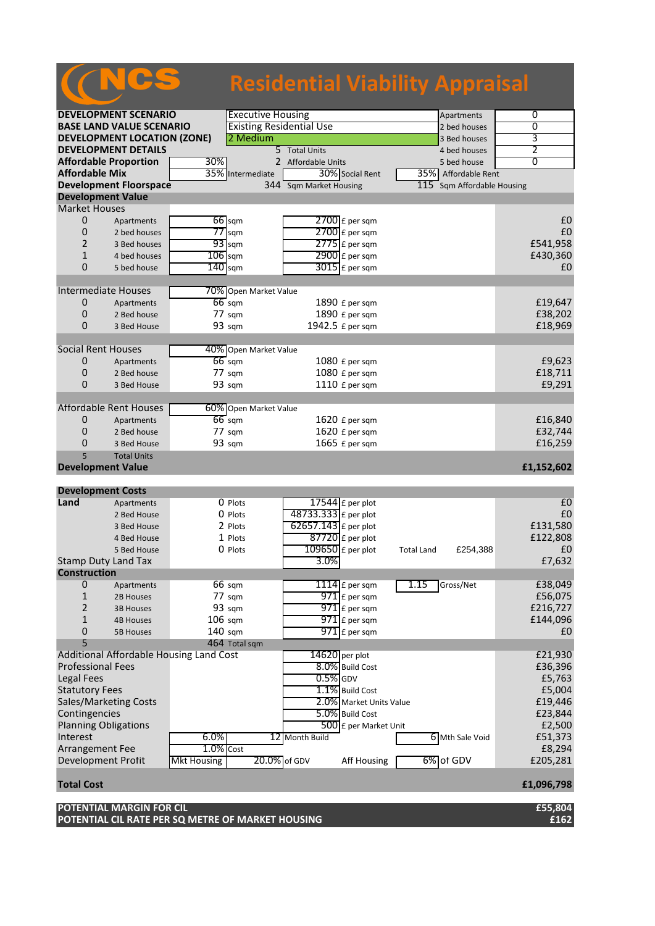## **Residential Viability Appraisal**

| <b>DEVELOPMENT SCENARIO</b>                                 |                               |                  | <b>Executive Housing</b>        |                         |                       | Apartments                    | $\overline{0}$ |
|-------------------------------------------------------------|-------------------------------|------------------|---------------------------------|-------------------------|-----------------------|-------------------------------|----------------|
| <b>BASE LAND VALUE SCENARIO</b>                             |                               |                  | <b>Existing Residential Use</b> |                         |                       | 2 bed houses                  | 0              |
| <b>DEVELOPMENT LOCATION (ZONE)</b>                          |                               |                  | 2 Medium                        |                         |                       | 3 Bed houses                  | 3              |
|                                                             | <b>DEVELOPMENT DETAILS</b>    |                  |                                 | 5 Total Units           |                       | 4 bed houses                  | 2              |
|                                                             | <b>Affordable Proportion</b>  | 30%              |                                 | 2 Affordable Units      |                       | 5 bed house                   | $\overline{0}$ |
| <b>Affordable Mix</b>                                       |                               | 35%              | Intermediate                    |                         | 30% Social Rent       | 35% Affordable Rent           |                |
|                                                             | <b>Development Floorspace</b> |                  |                                 | 344 Sqm Market Housing  |                       | 115 Sqm Affordable Housing    |                |
|                                                             | <b>Development Value</b>      |                  |                                 |                         |                       |                               |                |
| <b>Market Houses</b>                                        |                               |                  |                                 |                         |                       |                               |                |
| 0                                                           | Apartments                    | $66$ sqm         |                                 |                         | $2700$ £ per sqm      |                               | £0             |
| 0                                                           | 2 bed houses                  | 77               | sqm                             |                         | $2700$ $E$ per sqm    |                               | £0             |
| $\overline{2}$                                              | 3 Bed houses                  | $93$ sqm         |                                 |                         | $2775$ $E$ per sqm    |                               | £541,958       |
| 1                                                           | 4 bed houses                  | $106$ sqm        |                                 |                         | $2900$ £ per sqm      |                               | £430,360       |
| $\overline{0}$                                              | 5 bed house                   | $140$ sqm        |                                 |                         | $3015$ $E$ per sqm    |                               | £0             |
|                                                             |                               |                  |                                 |                         |                       |                               |                |
|                                                             | Intermediate Houses           |                  | 70% Open Market Value           |                         |                       |                               |                |
| 0                                                           | Apartments                    | $66$ sqm         |                                 |                         | $1890 f$ per sqm      |                               | £19,647        |
| 0                                                           | 2 Bed house                   | 77 sqm           |                                 |                         | 1890 £ per sqm        |                               | £38,202        |
| $\overline{0}$                                              | 3 Bed House                   | 93 sqm           |                                 |                         | 1942.5 £ per sqm      |                               | £18,969        |
|                                                             |                               |                  |                                 |                         |                       |                               |                |
|                                                             | <b>Social Rent Houses</b>     |                  | 40% Open Market Value           |                         |                       |                               |                |
| 0                                                           | Apartments                    | $66$ sqm         |                                 |                         | $1080 f$ per sqm      |                               | £9,623         |
| $\mathbf 0$                                                 | 2 Bed house                   | 77 sqm           |                                 |                         | 1080 £ per sqm        |                               | £18,711        |
| $\mathbf 0$                                                 | 3 Bed House                   | 93 sqm           |                                 |                         | 1110 £ per sqm        |                               | £9,291         |
|                                                             |                               |                  |                                 |                         |                       |                               |                |
|                                                             | <b>Affordable Rent Houses</b> |                  | 60% Open Market Value           |                         |                       |                               |                |
| 0                                                           | Apartments                    | $66$ sqm         |                                 |                         | 1620 £ per sqm        |                               | £16,840        |
| $\mathbf 0$                                                 | 2 Bed house                   | 77 sqm           |                                 |                         | 1620 £ per sqm        |                               | £32,744        |
| 0                                                           | 3 Bed House                   | 93 sqm           |                                 |                         | 1665 £ per sqm        |                               | £16,259        |
| 5                                                           | <b>Total Units</b>            |                  |                                 |                         |                       |                               |                |
|                                                             | <b>Development Value</b>      |                  |                                 |                         |                       |                               | £1,152,602     |
|                                                             |                               |                  |                                 |                         |                       |                               |                |
|                                                             | <b>Development Costs</b>      |                  |                                 |                         |                       |                               |                |
| Land                                                        | Apartments                    |                  | 0 Plots                         |                         | $17544$ £ per plot    |                               | E <sub>0</sub> |
|                                                             | 2 Bed House                   |                  | 0 Plots                         | 48733.333 £ per plot    |                       |                               | £0             |
|                                                             | 3 Bed House                   |                  | 2 Plots                         | 62657.143 £ per plot    |                       |                               | £131,580       |
|                                                             | 4 Bed House                   |                  | 1 Plots                         |                         | $87720$ £ per plot    |                               | £122,808       |
|                                                             | 5 Bed House                   |                  | 0 Plots                         |                         | $109650$ £ per plot   | <b>Total Land</b><br>£254,388 | £0             |
|                                                             | <b>Stamp Duty Land Tax</b>    |                  |                                 | 3.0%                    |                       |                               | £7,632         |
| <b>Construction</b>                                         |                               |                  |                                 |                         |                       |                               |                |
| $\mathbf 0$                                                 | Apartments                    | $66 \text{ sqm}$ |                                 |                         | $1114$ $E$ per sqm    | 1.15<br>Gross/Net             | £38,049        |
| 1                                                           | 2B Houses                     | 77 sgm           |                                 |                         | $971$ £ per sqm       |                               | £56,075        |
| 2                                                           | 3B Houses                     | 93 sqm           |                                 |                         | $971$ $E$ per sqm     |                               | £216,727       |
| 1                                                           | <b>4B Houses</b>              | $106$ sqm        |                                 |                         | $971$ $E$ per sqm     |                               | £144,096       |
| 0                                                           | <b>5B Houses</b>              | 140 sqm          |                                 |                         | $971$ £ per sqm       |                               | £0             |
| 5                                                           |                               |                  | 464 Total sqm                   |                         |                       |                               |                |
| Additional Affordable Housing Land Cost<br>$14620$ per plot |                               |                  |                                 |                         | £21,930               |                               |                |
| <b>Professional Fees</b>                                    |                               |                  |                                 | 8.0% Build Cost         |                       | £36,396                       |                |
| <b>Legal Fees</b>                                           |                               |                  |                                 | $0.5%$ GDV              |                       |                               | £5,763         |
| <b>Statutory Fees</b>                                       |                               |                  |                                 | 1.1% Build Cost         |                       | £5,004                        |                |
| Sales/Marketing Costs                                       |                               |                  |                                 | 2.0% Market Units Value |                       | £19,446                       |                |
| Contingencies                                               |                               |                  |                                 |                         | 5.0% Build Cost       |                               | £23,844        |
| <b>Planning Obligations</b>                                 |                               |                  |                                 |                         | 500 £ per Market Unit |                               | £2,500         |
| Interest                                                    |                               | 6.0%             |                                 | 12 Month Build          |                       | 6 Mth Sale Void               | £51,373        |
| Arrangement Fee                                             |                               | $1.0\%$ Cost     |                                 |                         |                       |                               | £8,294         |
| Development Profit<br><b>Mkt Housing</b>                    |                               |                  | 20.0% of GDV                    |                         | <b>Aff Housing</b>    | 6% of GDV                     | £205,281       |
|                                                             |                               |                  |                                 |                         |                       |                               |                |

## **Total Cost £1,096,798**

NCS

| POTENTIAL MARGIN FOR CIL                          | £55,804 |
|---------------------------------------------------|---------|
| POTENTIAL CIL RATE PER SQ METRE OF MARKET HOUSING | £162    |